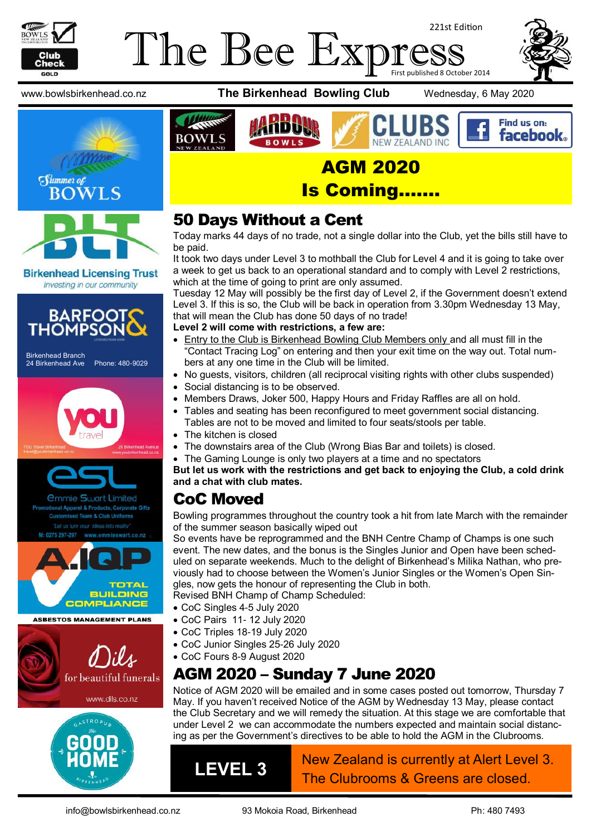

#### The Bee Exp 221st Edition First published 8 October 2014







**Birkenhead Licensing Trust** Investing in our community



24 Birkenhead Ave Phone: 480-9029







**ASBESTOS MANAGEMENT PLANS** 



www.bowlsbirkenhead.co.nz **The Birkenhead Bowling Club** Wednesday, 6 May 2020







AGM 2020

### Is Coming…….

## 50 Days Without a Cent

Today marks 44 days of no trade, not a single dollar into the Club, yet the bills still have to be paid.

It took two days under Level 3 to mothball the Club for Level 4 and it is going to take over a week to get us back to an operational standard and to comply with Level 2 restrictions, which at the time of going to print are only assumed.

Tuesday 12 May will possibly be the first day of Level 2, if the Government doesn't extend Level 3. If this is so, the Club will be back in operation from 3.30pm Wednesday 13 May, that will mean the Club has done 50 days of no trade!

#### **Level 2 will come with restrictions, a few are:**

- **Entry to the Club is Birkenhead Bowling Club Members only and all must fill in the** "Contact Tracing Log" on entering and then your exit time on the way out. Total numbers at any one time in the Club will be limited.
- No guests, visitors, children (all reciprocal visiting rights with other clubs suspended)
- Social distancing is to be observed.
- Members Draws, Joker 500, Happy Hours and Friday Raffles are all on hold.
- Tables and seating has been reconfigured to meet government social distancing. Tables are not to be moved and limited to four seats/stools per table.
- The kitchen is closed

**BOWLS** 

- The downstairs area of the Club (Wrong Bias Bar and toilets) is closed.
- The Gaming Lounge is only two players at a time and no spectators

**But let us work with the restrictions and get back to enjoying the Club, a cold drink and a chat with club mates.**

## CoC Moved

Bowling programmes throughout the country took a hit from late March with the remainder of the summer season basically wiped out

So events have be reprogrammed and the BNH Centre Champ of Champs is one such event. The new dates, and the bonus is the Singles Junior and Open have been scheduled on separate weekends. Much to the delight of Birkenhead's Milika Nathan, who previously had to choose between the Women's Junior Singles or the Women's Open Singles, now gets the honour of representing the Club in both.

Revised BNH Champ of Champ Scheduled:

- CoC Pairs 11- 12 July 2020
- CoC Junior Singles 25-26 July 2020
- CoC Fours 8-9 August 2020

# AGM 2020 – Sunday 7 June 2020

Notice of AGM 2020 will be emailed and in some cases posted out tomorrow, Thursday 7 May. If you haven't received Notice of the AGM by Wednesday 13 May, please contact the Club Secretary and we will remedy the situation. At this stage we are comfortable that under Level 2 we can accommodate the numbers expected and maintain social distancing as per the Government's directives to be able to hold the AGM in the Clubrooms.

**LEVEL 3** New Zealand is currently at Alert Level 3. The Clubrooms & Greens are closed.

- CoC Singles 4-5 July 2020
- 
- CoC Triples 18-19 July 2020
- 
-